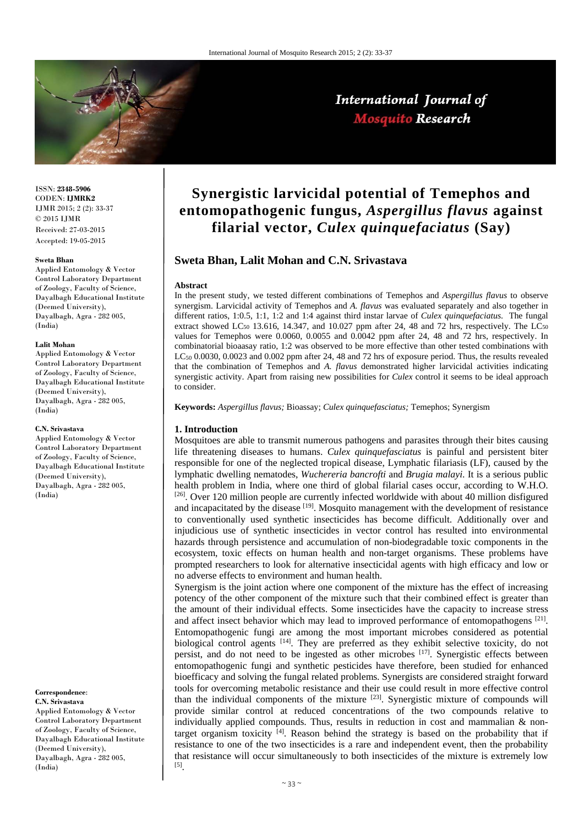

# International Journal of **Mosquito Research**

ISSN: **2348-5906** CODEN: **IJMRK2** IJMR 2015; 2 (2): 33-37  $\odot$  2015 IJMR Received: 27-03-2015 Accepted: 19-05-2015

#### **Sweta Bhan**

Applied Entomology & Vector Control Laboratory Department of Zoology, Faculty of Science, Dayalbagh Educational Institute (Deemed University), Dayalbagh, Agra - 282 005, (India)

#### **Lalit Mohan**

Applied Entomology & Vector Control Laboratory Department of Zoology, Faculty of Science, Dayalbagh Educational Institute (Deemed University), Dayalbagh, Agra - 282 005, (India)

#### **C.N. Srivastava**

Applied Entomology & Vector Control Laboratory Department of Zoology, Faculty of Science, Dayalbagh Educational Institute (Deemed University), Dayalbagh, Agra - 282 005, (India)

#### **Correspondence**: **C.N. Srivastava**

Applied Entomology & Vector Control Laboratory Department of Zoology, Faculty of Science, Dayalbagh Educational Institute (Deemed University), Dayalbagh, Agra - 282 005, (India)

# **Synergistic larvicidal potential of Temephos and entomopathogenic fungus,** *Aspergillus flavus* **against filarial vector,** *Culex quinquefaciatus* **(Say)**

## **Sweta Bhan, Lalit Mohan and C.N. Srivastava**

#### **Abstract**

In the present study, we tested different combinations of Temephos and *Aspergillus flavus* to observe synergism. Larvicidal activity of Temephos and *A. flavus* was evaluated separately and also together in different ratios, 1:0.5, 1:1, 1:2 and 1:4 against third instar larvae of *Culex quinquefaciatus*. The fungal extract showed LC<sub>50</sub> 13.616, 14.347, and 10.027 ppm after 24, 48 and 72 hrs, respectively. The LC<sub>50</sub> values for Temephos were 0.0060, 0.0055 and 0.0042 ppm after 24, 48 and 72 hrs, respectively. In combinatorial bioaasay ratio, 1:2 was observed to be more effective than other tested combinations with LC50 0.0030, 0.0023 and 0.002 ppm after 24, 48 and 72 hrs of exposure period. Thus, the results revealed that the combination of Temephos and *A. flavus* demonstrated higher larvicidal activities indicating synergistic activity. Apart from raising new possibilities for *Culex* control it seems to be ideal approach to consider.

**Keywords:** *Aspergillus flavus;* Bioassay; *Culex quinquefasciatus;* Temephos; Synergism

#### **1. Introduction**

Mosquitoes are able to transmit numerous pathogens and parasites through their bites causing life threatening diseases to humans. *Culex quinquefasciatus* is painful and persistent biter responsible for one of the neglected tropical disease, Lymphatic filariasis (LF), caused by the lymphatic dwelling nematodes, *Wuchereria bancrofti* and *Brugia malayi*. It is a serious public health problem in India, where one third of global filarial cases occur, according to W.H.O. [26]. Over 120 million people are currently infected worldwide with about 40 million disfigured and incapacitated by the disease <sup>[19]</sup>. Mosquito management with the development of resistance to conventionally used synthetic insecticides has become difficult. Additionally over and injudicious use of synthetic insecticides in vector control has resulted into environmental hazards through persistence and accumulation of non-biodegradable toxic components in the ecosystem, toxic effects on human health and non-target organisms. These problems have prompted researchers to look for alternative insecticidal agents with high efficacy and low or no adverse effects to environment and human health.

Synergism is the joint action where one component of the mixture has the effect of increasing potency of the other component of the mixture such that their combined effect is greater than the amount of their individual effects. Some insecticides have the capacity to increase stress and affect insect behavior which may lead to improved performance of entomopathogens [21]. Entomopathogenic fungi are among the most important microbes considered as potential biological control agents <sup>[14]</sup>. They are preferred as they exhibit selective toxicity, do not persist, and do not need to be ingested as other microbes  $^{[17]}$ . Synergistic effects between entomopathogenic fungi and synthetic pesticides have therefore, been studied for enhanced bioefficacy and solving the fungal related problems. Synergists are considered straight forward tools for overcoming metabolic resistance and their use could result in more effective control than the individual components of the mixture  $[23]$ . Synergistic mixture of compounds will provide similar control at reduced concentrations of the two compounds relative to individually applied compounds. Thus, results in reduction in cost and mammalian & nontarget organism toxicity  $[4]$ . Reason behind the strategy is based on the probability that if resistance to one of the two insecticides is a rare and independent event, then the probability that resistance will occur simultaneously to both insecticides of the mixture is extremely low [5].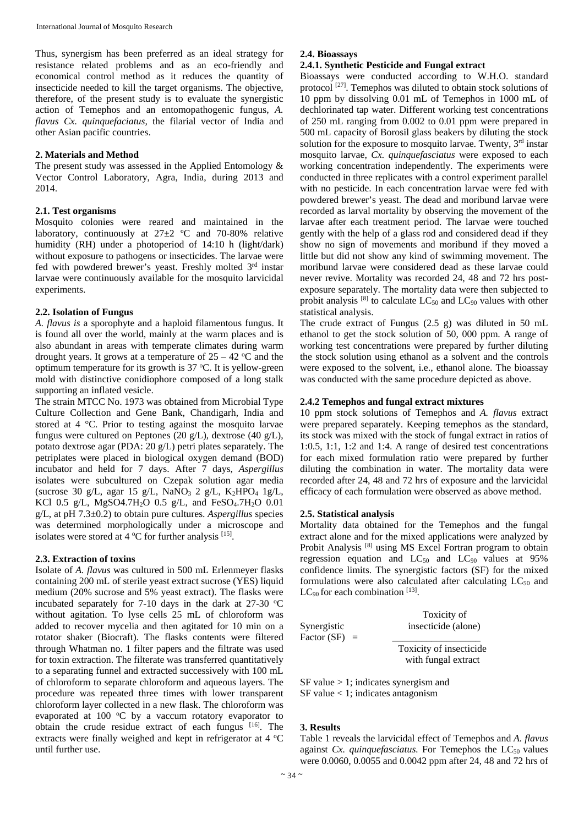Thus, synergism has been preferred as an ideal strategy for resistance related problems and as an eco-friendly and economical control method as it reduces the quantity of insecticide needed to kill the target organisms. The objective, therefore, of the present study is to evaluate the synergistic action of Temephos and an entomopathogenic fungus, *A. flavus Cx. quinquefaciatus,* the filarial vector of India and other Asian pacific countries.

#### **2. Materials and Method**

The present study was assessed in the Applied Entomology & Vector Control Laboratory, Agra, India, during 2013 and 2014.

#### **2.1. Test organisms**

Mosquito colonies were reared and maintained in the laboratory, continuously at  $27\pm2$  °C and 70-80% relative humidity (RH) under a photoperiod of 14:10 h (light/dark) without exposure to pathogens or insecticides. The larvae were fed with powdered brewer's yeast. Freshly molted 3rd instar larvae were continuously available for the mosquito larvicidal experiments.

#### **2.2. Isolation of Fungus**

*A. flavus is* a sporophyte and a haploid filamentous fungus. It is found all over the world, mainly at the warm places and is also abundant in areas with temperate climates during warm drought years. It grows at a temperature of  $25 - 42$  °C and the optimum temperature for its growth is  $37^{\circ}$ C. It is yellow-green mold with distinctive conidiophore composed of a long stalk supporting an inflated vesicle.

The strain MTCC No. 1973 was obtained from Microbial Type Culture Collection and Gene Bank, Chandigarh, India and stored at 4 °C. Prior to testing against the mosquito larvae fungus were cultured on Peptones (20 g/L), dextrose (40 g/L), potato dextrose agar (PDA: 20 g/L) petri plates separately. The petriplates were placed in biological oxygen demand (BOD) incubator and held for 7 days. After 7 days, *Aspergillus*  isolates were subcultured on Czepak solution agar media (sucrose 30 g/L, agar 15 g/L, NaNO<sub>3</sub> 2 g/L, K<sub>2</sub>HPO<sub>4</sub> 1g/L, KCl 0.5 g/L, MgSO4.7H<sub>2</sub>O 0.5 g/L, and FeSO<sub>4</sub>.7H<sub>2</sub>O 0.01 g/L, at pH 7.3±0.2) to obtain pure cultures. *Aspergillus* species was determined morphologically under a microscope and isolates were stored at  $4^{\circ}$ C for further analysis [15].

## **2.3. Extraction of toxins**

Isolate of *A. flavus* was cultured in 500 mL Erlenmeyer flasks containing 200 mL of sterile yeast extract sucrose (YES) liquid medium (20% sucrose and 5% yeast extract). The flasks were incubated separately for 7-10 days in the dark at  $27-30$  °C without agitation. To lyse cells 25 mL of chloroform was added to recover mycelia and then agitated for 10 min on a rotator shaker (Biocraft). The flasks contents were filtered through Whatman no. 1 filter papers and the filtrate was used for toxin extraction. The filterate was transferred quantitatively to a separating funnel and extracted successively with 100 mL of chloroform to separate chloroform and aqueous layers. The procedure was repeated three times with lower transparent chloroform layer collected in a new flask. The chloroform was evaporated at  $100$  °C by a vaccum rotatory evaporator to obtain the crude residue extract of each fungus [16]. The extracts were finally weighed and kept in refrigerator at  $4 °C$ until further use.

## **2.4. Bioassays**

#### **2.4.1. Synthetic Pesticide and Fungal extract**

Bioassays were conducted according to W.H.O. standard protocol [27]. Temephos was diluted to obtain stock solutions of 10 ppm by dissolving 0.01 mL of Temephos in 1000 mL of dechlorinated tap water. Different working test concentrations of 250 mL ranging from 0.002 to 0.01 ppm were prepared in 500 mL capacity of Borosil glass beakers by diluting the stock solution for the exposure to mosquito larvae. Twenty,  $3<sup>rd</sup>$  instar mosquito larvae, *Cx. quinquefasciatus* were exposed to each working concentration independently. The experiments were conducted in three replicates with a control experiment parallel with no pesticide. In each concentration larvae were fed with powdered brewer's yeast. The dead and moribund larvae were recorded as larval mortality by observing the movement of the larvae after each treatment period. The larvae were touched gently with the help of a glass rod and considered dead if they show no sign of movements and moribund if they moved a little but did not show any kind of swimming movement. The moribund larvae were considered dead as these larvae could never revive. Mortality was recorded 24, 48 and 72 hrs postexposure separately. The mortality data were then subjected to probit analysis  $[8]$  to calculate  $LC_{50}$  and  $LC_{90}$  values with other statistical analysis.

The crude extract of Fungus (2.5 g) was diluted in 50 mL ethanol to get the stock solution of 50, 000 ppm. A range of working test concentrations were prepared by further diluting the stock solution using ethanol as a solvent and the controls were exposed to the solvent, i.e., ethanol alone. The bioassay was conducted with the same procedure depicted as above.

#### **2.4.2 Temephos and fungal extract mixtures**

10 ppm stock solutions of Temephos and *A. flavus* extract were prepared separately. Keeping temephos as the standard, its stock was mixed with the stock of fungal extract in ratios of 1:0.5, 1:1, 1:2 and 1:4. A range of desired test concentrations for each mixed formulation ratio were prepared by further diluting the combination in water. The mortality data were recorded after 24, 48 and 72 hrs of exposure and the larvicidal efficacy of each formulation were observed as above method.

## **2.5. Statistical analysis**

Mortality data obtained for the Temephos and the fungal extract alone and for the mixed applications were analyzed by Probit Analysis<sup>[8]</sup> using MS Excel Fortran program to obtain regression equation and  $LC_{50}$  and  $LC_{90}$  values at 95% confidence limits. The synergistic factors (SF) for the mixed formulations were also calculated after calculating  $LC_{50}$  and  $LC_{90}$  for each combination  $^{[13]}$ .

| Synergistic     | Toxicity of<br>insecticide (alone)             |  |  |  |
|-----------------|------------------------------------------------|--|--|--|
| Factor $(SF) =$ |                                                |  |  |  |
|                 | Toxicity of insecticide<br>with fungal extract |  |  |  |

SF value > 1; indicates synergism and SF value < 1; indicates antagonism

## **3. Results**

Table 1 reveals the larvicidal effect of Temephos and *A. flavus* against *Cx. quinquefasciatus*. For Temephos the LC<sub>50</sub> values were 0.0060, 0.0055 and 0.0042 ppm after 24, 48 and 72 hrs of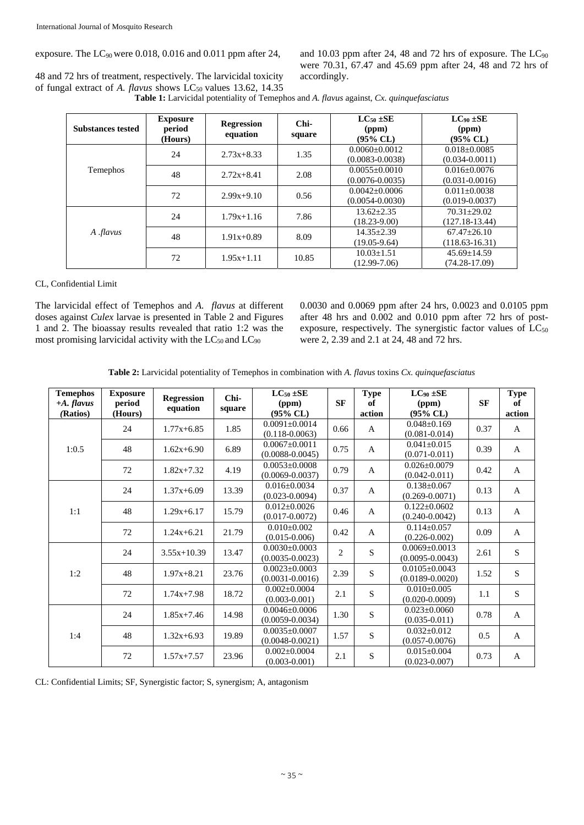exposure. The  $LC_{90}$  were 0.018, 0.016 and 0.011 ppm after 24,

and  $10.03$  ppm after 24, 48 and 72 hrs of exposure. The  $LC_{90}$ were 70.31, 67.47 and 45.69 ppm after 24, 48 and 72 hrs of accordingly.

48 and 72 hrs of treatment, respectively. The larvicidal toxicity of fungal extract of *A. flavus* shows LC<sub>50</sub> values 13.62, 14.35

**Table 1:** Larvicidal potentiality of Temephos and *A. flavus* against, *Cx. quinquefasciatus*

| <b>Substances tested</b> | <b>Exposure</b><br>period<br>(Hours) | <b>Regression</b><br>equation | $Chi-$<br>square | $LC_{50}$ $\pm$ SE<br>(ppm)<br>$(95\%$ CL) | $LC90 \pm SE$<br>(ppm)<br>$(95\%$ CL)  |  |
|--------------------------|--------------------------------------|-------------------------------|------------------|--------------------------------------------|----------------------------------------|--|
|                          | 24                                   | $2.73x+8.33$                  | 1.35             | $0.0060 + 0.0012$<br>$(0.0083 - 0.0038)$   | $0.018 + 0.0085$<br>$(0.034 - 0.0011)$ |  |
| Temephos                 | 48                                   | $2.72x + 8.41$                | 2.08             | $0.0055 \pm 0.0010$<br>$(0.0076 - 0.0035)$ | $0.016 + 0.0076$<br>$(0.031 - 0.0016)$ |  |
|                          | 72                                   | $2.99x+9.10$                  | 0.56             | $0.0042 + 0.0006$<br>$(0.0054 - 0.0030)$   | $0.011 + 0.0038$<br>$(0.019 - 0.0037)$ |  |
| A . <i>flavus</i>        | 24                                   | $1.79x+1.16$                  | 7.86             | $13.62 + 2.35$<br>$(18.23 - 9.00)$         | $70.31 + 29.02$<br>$(127.18-13.44)$    |  |
|                          | 48                                   | $1.91x+0.89$                  | 8.09             | $14.35 + 2.39$<br>$(19.05 - 9.64)$         | $67.47 + 26.10$<br>$(118.63 - 16.31)$  |  |
|                          | 72                                   | $1.95x+1.11$                  | 10.85            | $10.03 \pm 1.51$<br>$(12.99 - 7.06)$       | $45.69 \pm 14.59$<br>$(74.28 - 17.09)$ |  |

## CL, Confidential Limit

The larvicidal effect of Temephos and *A. flavus* at different doses against *Culex* larvae is presented in Table 2 and Figures 1 and 2. The bioassay results revealed that ratio 1:2 was the most promising larvicidal activity with the  $LC_{50}$  and  $LC_{90}$ 

0.0030 and 0.0069 ppm after 24 hrs, 0.0023 and 0.0105 ppm after 48 hrs and 0.002 and 0.010 ppm after 72 hrs of postexposure, respectively. The synergistic factor values of  $LC_{50}$ were 2, 2.39 and 2.1 at 24, 48 and 72 hrs.

**Table 2:** Larvicidal potentiality of Temephos in combination with *A. flavus* toxins *Cx. quinquefasciatus* 

| <b>Temephos</b><br>$+A.$ flavus<br>(Ratios) | <b>Exposure</b><br>period<br>(Hours) | <b>Regression</b><br>equation | Chi-<br>square | $LC_{50}$ ±SE<br>(ppm)<br>$(95\%$ CL)      | <b>SF</b>      | <b>Type</b><br>of<br>action | $LC_{90} \pm SE$<br>(ppm)<br>$(95\%$ CL)   | <b>SF</b> | <b>Type</b><br>of<br>action |
|---------------------------------------------|--------------------------------------|-------------------------------|----------------|--------------------------------------------|----------------|-----------------------------|--------------------------------------------|-----------|-----------------------------|
| 1:0.5                                       | 24                                   | $1.77x+6.85$                  | 1.85           | $0.0091 + 0.0014$<br>$(0.118 - 0.0063)$    | 0.66           | $\mathbf{A}$                | $0.048 \pm 0.169$<br>$(0.081 - 0.014)$     | 0.37      | $\mathbf{A}$                |
|                                             | 48                                   | $1.62x+6.90$                  | 6.89           | $0.0067 \pm 0.0011$<br>$(0.0088 - 0.0045)$ | 0.75           | $\mathsf{A}$                | $0.041 \pm 0.015$<br>$(0.071 - 0.011)$     | 0.39      | $\mathsf{A}$                |
|                                             | 72                                   | $1.82x+7.32$                  | 4.19           | $0.0053 \pm 0.0008$<br>$(0.0069 - 0.0037)$ | 0.79           | $\mathbf{A}$                | $0.026 \pm 0.0079$<br>$(0.042 - 0.011)$    | 0.42      | $\mathbf{A}$                |
| 1:1                                         | 24                                   | $1.37x+6.09$                  | 13.39          | $0.016 \pm 0.0034$<br>$(0.023 - 0.0094)$   | 0.37           | $\mathbf{A}$                | $0.138 \pm 0.067$<br>$(0.269 - 0.0071)$    | 0.13      | $\mathbf{A}$                |
|                                             | 48                                   | $1.29x+6.17$                  | 15.79          | $0.012 \pm 0.0026$<br>$(0.017 - 0.0072)$   | 0.46           | $\mathsf{A}$                | $0.122 \pm 0.0602$<br>$(0.240 - 0.0042)$   | 0.13      | $\mathsf{A}$                |
|                                             | 72                                   | $1.24x+6.21$                  | 21.79          | $0.010 \pm 0.002$<br>$(0.015 - 0.006)$     | 0.42           | $\mathbf{A}$                | $0.114 \pm 0.057$<br>$(0.226 - 0.002)$     | 0.09      | A                           |
| 1:2                                         | 24                                   | $3.55x+10.39$                 | 13.47          | $0.0030 \pm 0.0003$<br>$(0.0035 - 0.0023)$ | $\overline{2}$ | S                           | $0.0069 \pm 0.0013$<br>$(0.0095 - 0.0043)$ | 2.61      | S                           |
|                                             | 48                                   | $1.97x + 8.21$                | 23.76          | $0.0023 \pm 0.0003$<br>$(0.0031 - 0.0016)$ | 2.39           | S                           | $0.0105 \pm 0.0043$<br>$(0.0189 - 0.0020)$ | 1.52      | $\mathbf S$                 |
|                                             | 72                                   | $1.74x + 7.98$                | 18.72          | $0.002 \pm 0.0004$<br>$(0.003 - 0.001)$    | 2.1            | S                           | $0.010 \pm 0.005$<br>$(0.020 - 0.0009)$    | 1.1       | ${\bf S}$                   |
| 1:4                                         | 24                                   | $1.85x + 7.46$                | 14.98          | $0.0046 \pm 0.0006$<br>$(0.0059 - 0.0034)$ | 1.30           | S                           | $0.023 \pm 0.0060$<br>$(0.035 - 0.011)$    | 0.78      | $\mathsf{A}$                |
|                                             | 48                                   | $1.32x+6.93$                  | 19.89          | $0.0035 \pm 0.0007$<br>$(0.0048 - 0.0021)$ | 1.57           | S                           | $0.032 \pm 0.012$<br>$(0.057 - 0.0076)$    | 0.5       | $\mathbf{A}$                |
|                                             | 72                                   | $1.57x + 7.57$                | 23.96          | $0.002 \pm 0.0004$<br>$(0.003 - 0.001)$    | 2.1            | S                           | $0.015 \pm 0.004$<br>$(0.023 - 0.007)$     | 0.73      | $\mathsf{A}$                |

CL: Confidential Limits; SF, Synergistic factor; S, synergism; A, antagonism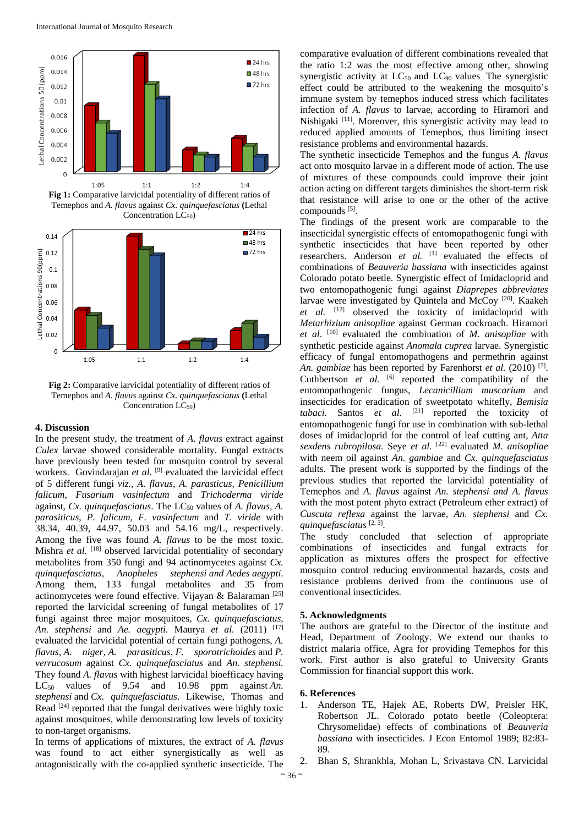

**Fig 1:** Comparative larvicidal potentiality of different ratios of Temephos and *A. flavus* against *Cx. quinquefasciatus* **(**Lethal Concentration LC<sub>50</sub>)



**Fig 2:** Comparative larvicidal potentiality of different ratios of Temephos and *A. flavus* against *Cx. quinquefasciatus* **(**Lethal Concentration LC<sub>90</sub>)

## **4. Discussion**

In the present study, the treatment of *A. flavus* extract against *Culex* larvae showed considerable mortality. Fungal extracts have previously been tested for mosquito control by several workers. Govindarajan et al. <sup>[9]</sup> evaluated the larvicidal effect of 5 different fungi *viz., A. flavus*, *A. parasticus, Penicillium falicum, Fusarium vasinfectum* and *Trichoderma viride*  against, *Cx. quinquefasciatus*. The LC<sub>50</sub> values of *A. flavus*, *A. parasiticus*, *P. falicum, F. vasinfectum* and *T. viride* with 38.34, 40.39, 44.97, 50.03 and 54.16 mg/L, respectively. Among the five was found *A. flavus* to be the most toxic. Mishra *et al.* <sup>[18]</sup> observed larvicidal potentiality of secondary metabolites from 350 fungi and 94 actinomycetes against *Cx. quinquefasciatus, Anopheles stephensi and Aedes aegypti*. Among them, 133 fungal metabolites and 35 from actinomycetes were found effective. Vijayan & Balaraman [25] reported the larvicidal screening of fungal metabolites of 17 fungi against three major mosquitoes, *Cx. quinquefasciatus, An. stephensi* and *Ae. aegypti*. Maurya *et al.* (2011) [17] evaluated the larvicidal potential of certain fungi pathogens, *A. flavus, A. niger, A. parasiticus, F. sporotrichoides* and *P. verrucosum* against *Cx. quinquefasciatus* and *An. stephensi.*  They found *A. flavus* with highest larvicidal bioefficacy having  $LC_{50}$  values of 9.54 and 10.98 ppm against *An*. *stephensi* and *Cx. quinquefasciatus*. Likewise, Thomas and Read  $[24]$  reported that the fungal derivatives were highly toxic against mosquitoes, while demonstrating low levels of toxicity to non-target organisms.

In terms of applications of mixtures, the extract of *A. flavus*  was found to act either synergistically as well as antagonistically with the co-applied synthetic insecticide. The comparative evaluation of different combinations revealed that the ratio 1:2 was the most effective among other, showing synergistic activity at  $LC_{50}$  and  $LC_{90}$  values. The synergistic effect could be attributed to the weakening the mosquito's immune system by temephos induced stress which facilitates infection of *A. flavus* to larvae, according to Hiramori and Nishigaki [11]. Moreover, this synergistic activity may lead to reduced applied amounts of Temephos, thus limiting insect resistance problems and environmental hazards.

The synthetic insecticide Temephos and the fungus *A. flavus*  act onto mosquito larvae in a different mode of action. The use of mixtures of these compounds could improve their joint action acting on different targets diminishes the short-term risk that resistance will arise to one or the other of the active compounds [5].

The findings of the present work are comparable to the insecticidal synergistic effects of entomopathogenic fungi with synthetic insecticides that have been reported by other researchers. Anderson *et al.* <sup>[1]</sup> evaluated the effects of combinations of *Beauveria bassiana* with insecticides against Colorado potato beetle. Synergistic effect of Imidacloprid and two entomopathogenic fungi against *Diaprepes abbreviates* larvae were investigated by Quintela and McCoy [20]. Kaakeh et al. <sup>[12]</sup> observed the toxicity of imidacloprid with *Metarhizium anisopliae* against German cockroach. Hiramori *et al*. [10] evaluated the combination of *M. anisopliae* with synthetic pesticide against *Anomala cuprea* larvae. Synergistic efficacy of fungal entomopathogens and permethrin against *An. gambiae* has been reported by Farenhorst *et al.* (2010) [7]. Cuthbertson *et al.* [6] reported the compatibility of the entomopathogenic fungus, *Lecanicillium muscarium* and insecticides for eradication of sweetpotato whitefly, *Bemisia tabaci*. Santos *et al.* [21] reported the toxicity of entomopathogenic fungi for use in combination with sub-lethal doses of imidacloprid for the control of leaf cutting ant, *Atta sexdens rubropilosa.* Seye *et al.* [22] evaluated *M. anisopliae*  with neem oil against *An. gambiae* and *Cx. quinquefasciatus*  adults. The present work is supported by the findings of the previous studies that reported the larvicidal potentiality of Temephos and *A. flavus* against *An. stephensi and A. flavus*  with the most potent phyto extract (Petroleum ether extract) of *Cuscuta reflexa* against the larvae, *An. stephensi* and *Cx. quinquefasciatus* [2, 3].

The study concluded that selection of appropriate combinations of insecticides and fungal extracts for application as mixtures offers the prospect for effective mosquito control reducing environmental hazards, costs and resistance problems derived from the continuous use of conventional insecticides.

## **5. Acknowledgments**

The authors are grateful to the Director of the institute and Head, Department of Zoology. We extend our thanks to district malaria office, Agra for providing Temephos for this work. First author is also grateful to University Grants Commission for financial support this work.

## **6. References**

- 1. Anderson TE, Hajek AE, Roberts DW, Preisler HK, Robertson JL. Colorado potato beetle (Coleoptera: Chrysomelidae) effects of combinations of *Beauveria bassiana* with insecticides. J Econ Entomol 1989; 82:83- 89.
- 2. Bhan S, Shrankhla, Mohan L, Srivastava CN. Larvicidal